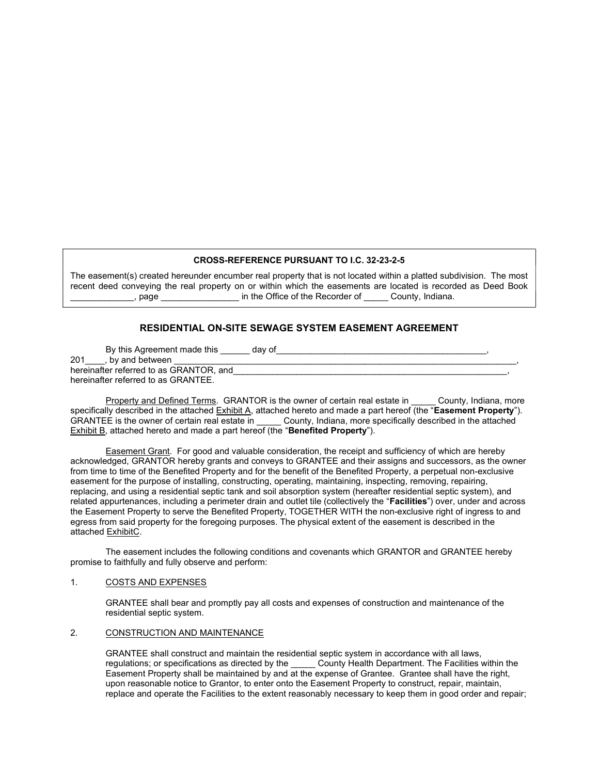#### CROSS-REFERENCE PURSUANT TO I.C. 32-23-2-5

The easement(s) created hereunder encumber real property that is not located within a platted subdivision. The most recent deed conveying the real property on or within which the easements are located is recorded as Deed Book page the contract the Office of the Recorder of County, Indiana.

# RESIDENTIAL ON-SITE SEWAGE SYSTEM EASEMENT AGREEMENT

By this Agreement made this day of 201 , by and between hereinafter referred to as GRANTOR, and hereinafter referred to as GRANTEE.

Property and Defined Terms. GRANTOR is the owner of certain real estate in County, Indiana, more specifically described in the attached Exhibit A, attached hereto and made a part hereof (the "Easement Property"). GRANTEE is the owner of certain real estate in \_\_\_\_\_\_ County, Indiana, more specifically described in the attached Exhibit B, attached hereto and made a part hereof (the "Benefited Property").

Easement Grant. For good and valuable consideration, the receipt and sufficiency of which are hereby acknowledged, GRANTOR hereby grants and conveys to GRANTEE and their assigns and successors, as the owner from time to time of the Benefited Property and for the benefit of the Benefited Property, a perpetual non-exclusive easement for the purpose of installing, constructing, operating, maintaining, inspecting, removing, repairing, replacing, and using a residential septic tank and soil absorption system (hereafter residential septic system), and related appurtenances, including a perimeter drain and outlet tile (collectively the "Facilities") over, under and across the Easement Property to serve the Benefited Property, TOGETHER WITH the non-exclusive right of ingress to and egress from said property for the foregoing purposes. The physical extent of the easement is described in the attached ExhibitC.

The easement includes the following conditions and covenants which GRANTOR and GRANTEE hereby promise to faithfully and fully observe and perform:

#### 1. COSTS AND EXPENSES

GRANTEE shall bear and promptly pay all costs and expenses of construction and maintenance of the residential septic system.

#### 2. CONSTRUCTION AND MAINTENANCE

GRANTEE shall construct and maintain the residential septic system in accordance with all laws, regulations; or specifications as directed by the \_\_\_\_\_\_ County Health Department. The Facilities within the Easement Property shall be maintained by and at the expense of Grantee. Grantee shall have the right, upon reasonable notice to Grantor, to enter onto the Easement Property to construct, repair, maintain, replace and operate the Facilities to the extent reasonably necessary to keep them in good order and repair;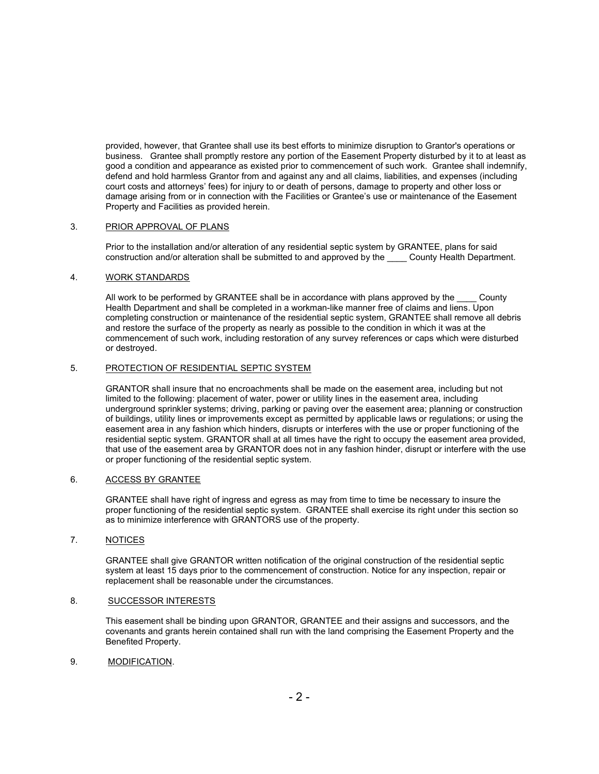provided, however, that Grantee shall use its best efforts to minimize disruption to Grantor's operations or business. Grantee shall promptly restore any portion of the Easement Property disturbed by it to at least as good a condition and appearance as existed prior to commencement of such work. Grantee shall indemnify, defend and hold harmless Grantor from and against any and all claims, liabilities, and expenses (including court costs and attorneys' fees) for injury to or death of persons, damage to property and other loss or damage arising from or in connection with the Facilities or Grantee's use or maintenance of the Easement Property and Facilities as provided herein.

### 3. PRIOR APPROVAL OF PLANS

Prior to the installation and/or alteration of any residential septic system by GRANTEE, plans for said construction and/or alteration shall be submitted to and approved by the \_\_\_\_ County Health Department.

## 4. WORK STANDARDS

All work to be performed by GRANTEE shall be in accordance with plans approved by the County Health Department and shall be completed in a workman-like manner free of claims and liens. Upon completing construction or maintenance of the residential septic system, GRANTEE shall remove all debris and restore the surface of the property as nearly as possible to the condition in which it was at the commencement of such work, including restoration of any survey references or caps which were disturbed or destroyed.

# 5. PROTECTION OF RESIDENTIAL SEPTIC SYSTEM

GRANTOR shall insure that no encroachments shall be made on the easement area, including but not limited to the following: placement of water, power or utility lines in the easement area, including underground sprinkler systems; driving, parking or paving over the easement area; planning or construction of buildings, utility lines or improvements except as permitted by applicable laws or regulations; or using the easement area in any fashion which hinders, disrupts or interferes with the use or proper functioning of the residential septic system. GRANTOR shall at all times have the right to occupy the easement area provided, that use of the easement area by GRANTOR does not in any fashion hinder, disrupt or interfere with the use or proper functioning of the residential septic system.

### 6. ACCESS BY GRANTEE

GRANTEE shall have right of ingress and egress as may from time to time be necessary to insure the proper functioning of the residential septic system. GRANTEE shall exercise its right under this section so as to minimize interference with GRANTORS use of the property.

# 7. NOTICES

GRANTEE shall give GRANTOR written notification of the original construction of the residential septic system at least 15 days prior to the commencement of construction. Notice for any inspection, repair or replacement shall be reasonable under the circumstances.

### 8. SUCCESSOR INTERESTS

This easement shall be binding upon GRANTOR, GRANTEE and their assigns and successors, and the covenants and grants herein contained shall run with the land comprising the Easement Property and the Benefited Property.

## 9. MODIFICATION.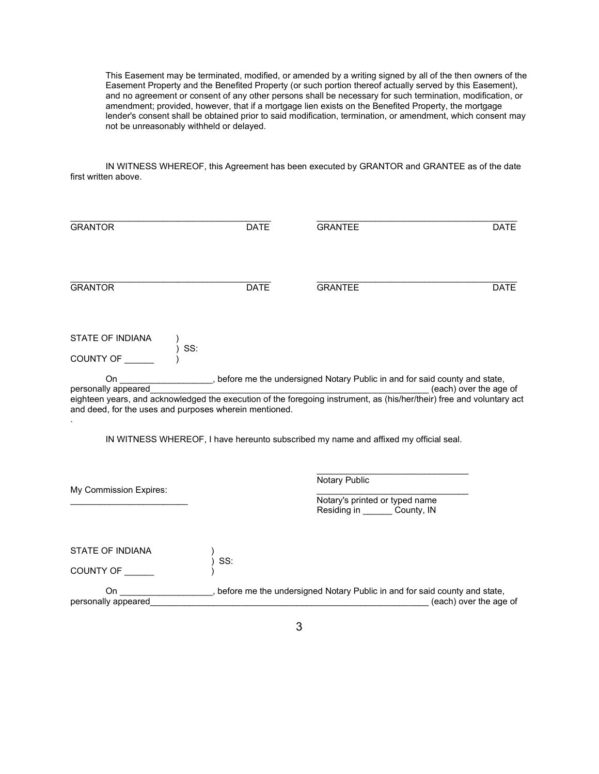This Easement may be terminated, modified, or amended by a writing signed by all of the then owners of the Easement Property and the Benefited Property (or such portion thereof actually served by this Easement), and no agreement or consent of any other persons shall be necessary for such termination, modification, or amendment; provided, however, that if a mortgage lien exists on the Benefited Property, the mortgage lender's consent shall be obtained prior to said modification, termination, or amendment, which consent may not be unreasonably withheld or delayed.

 IN WITNESS WHEREOF, this Agreement has been executed by GRANTOR and GRANTEE as of the date first written above.

| <b>GRANTOR</b>                                                                | <b>DATE</b> | <b>GRANTEE</b>                                                                                      | <b>DATE</b>            |
|-------------------------------------------------------------------------------|-------------|-----------------------------------------------------------------------------------------------------|------------------------|
| <b>GRANTOR</b>                                                                | <b>DATE</b> | <b>GRANTEE</b>                                                                                      | <b>DATE</b>            |
| STATE OF INDIANA<br>SS:<br>COUNTY OF                                          |             |                                                                                                     |                        |
| personally appeared<br>and deed, for the uses and purposes wherein mentioned. |             | On _____________________, before me the undersigned Notary Public in and for said county and state, | (each) over the age of |
|                                                                               |             | IN WITNESS WHEREOF, I have hereunto subscribed my name and affixed my official seal.                |                        |
| My Commission Expires:                                                        |             | Notary Public<br>Notary's printed or typed name<br>Residing in ________ County, IN                  |                        |
| <b>STATE OF INDIANA</b><br>COUNTY OF                                          | SS:         |                                                                                                     |                        |
| On<br>personally appeared                                                     |             | , before me the undersigned Notary Public in and for said county and state,                         | (each) over the age of |